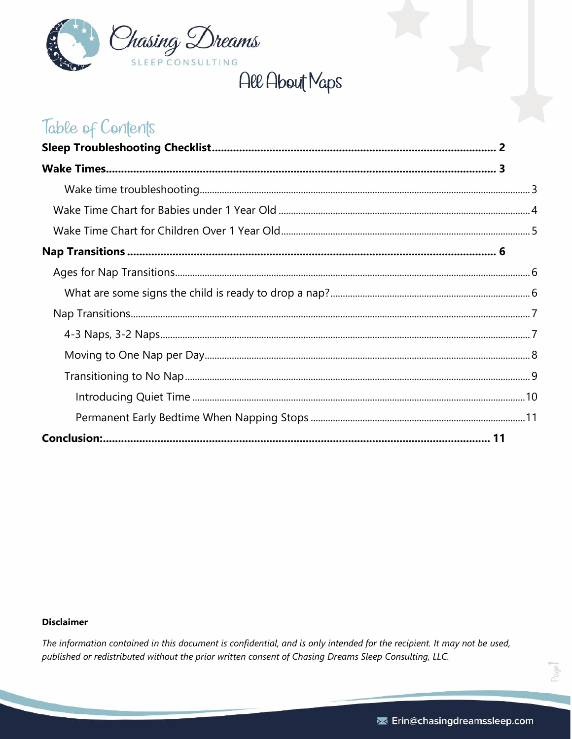

# All About Maps

# Table of Contents

#### **Disclaimer**

The information contained in this document is confidential, and is only intended for the recipient. It may not be used, published or redistributed without the prior written consent of Chasing Dreams Sleep Consulting, LLC.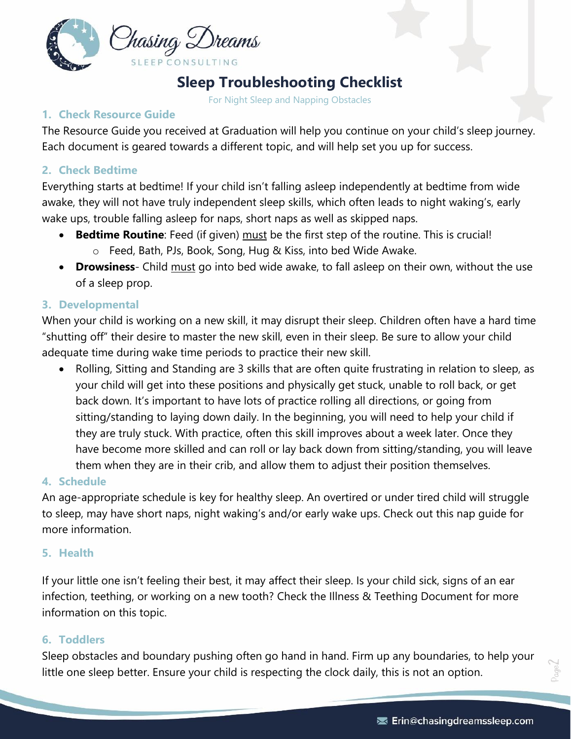

# **Sleep Troubleshooting Checklist**

For Night Sleep and Napping Obstacles

### <span id="page-1-0"></span>**1. Check Resource Guide**

The Resource Guide you received at Graduation will help you continue on your child's sleep journey. Each document is geared towards a different topic, and will help set you up for success.

### **2. Check Bedtime**

Everything starts at bedtime! If your child isn't falling asleep independently at bedtime from wide awake, they will not have truly independent sleep skills, which often leads to night waking's, early wake ups, trouble falling asleep for naps, short naps as well as skipped naps.

- **Bedtime Routine**: Feed (if given) must be the first step of the routine. This is crucial! o Feed, Bath, PJs, Book, Song, Hug & Kiss, into bed Wide Awake.
- **Drowsiness** Child must go into bed wide awake, to fall asleep on their own, without the use of a sleep prop.

### **3. Developmental**

When your child is working on a new skill, it may disrupt their sleep. Children often have a hard time "shutting off" their desire to master the new skill, even in their sleep. Be sure to allow your child adequate time during wake time periods to practice their new skill.

• Rolling, Sitting and Standing are 3 skills that are often quite frustrating in relation to sleep, as your child will get into these positions and physically get stuck, unable to roll back, or get back down. It's important to have lots of practice rolling all directions, or going from sitting/standing to laying down daily. In the beginning, you will need to help your child if they are truly stuck. With practice, often this skill improves about a week later. Once they have become more skilled and can roll or lay back down from sitting/standing, you will leave them when they are in their crib, and allow them to adjust their position themselves.

### **4. Schedule**

An age-appropriate schedule is key for healthy sleep. An overtired or under tired child will struggle to sleep, may have short naps, night waking's and/or early wake ups. Check out this nap guide for more information.

### **5. Health**

If your little one isn't feeling their best, it may affect their sleep. Is your child sick, signs of an ear infection, teething, or working on a new tooth? Check the Illness & Teething Document for more information on this topic.

### **6. Toddlers**

Sleep obstacles and boundary pushing often go hand in hand. Firm up any boundaries, to help your little one sleep better. Ensure your child is respecting the clock daily, this is not an option.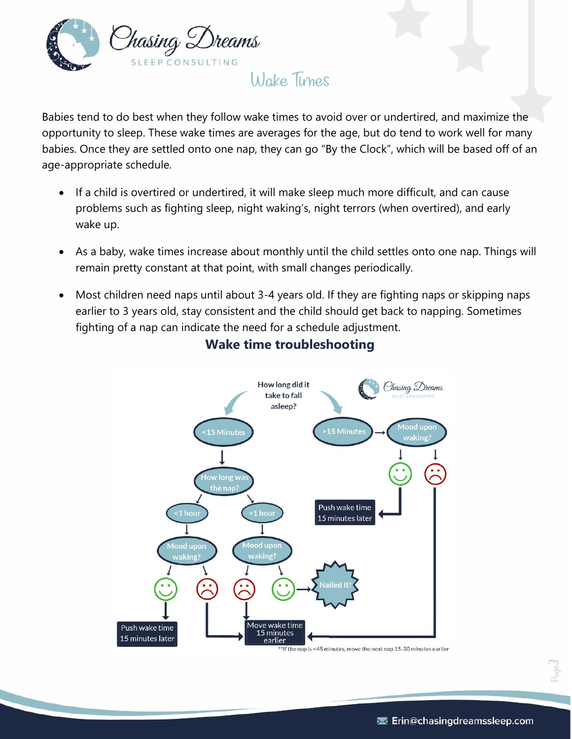

# Wake Times

<span id="page-2-0"></span>Babies tend to do best when they follow wake times to avoid over or undertired, and maximize the opportunity to sleep. These wake times are averages for the age, but do tend to work well for many babies. Once they are settled onto one nap, they can go "By the Clock", which will be based off of an age-appropriate schedule.

- If a child is overtired or undertired, it will make sleep much more difficult, and can cause problems such as fighting sleep, night waking's, night terrors (when overtired), and early wake up.
- As a baby, wake times increase about monthly until the child settles onto one nap. Things will remain pretty constant at that point, with small changes periodically.
- <span id="page-2-1"></span>• Most children need naps until about 3-4 years old. If they are fighting naps or skipping naps earlier to 3 years old, stay consistent and the child should get back to napping. Sometimes fighting of a nap can indicate the need for a schedule adjustment.



## **Wake time troubleshooting**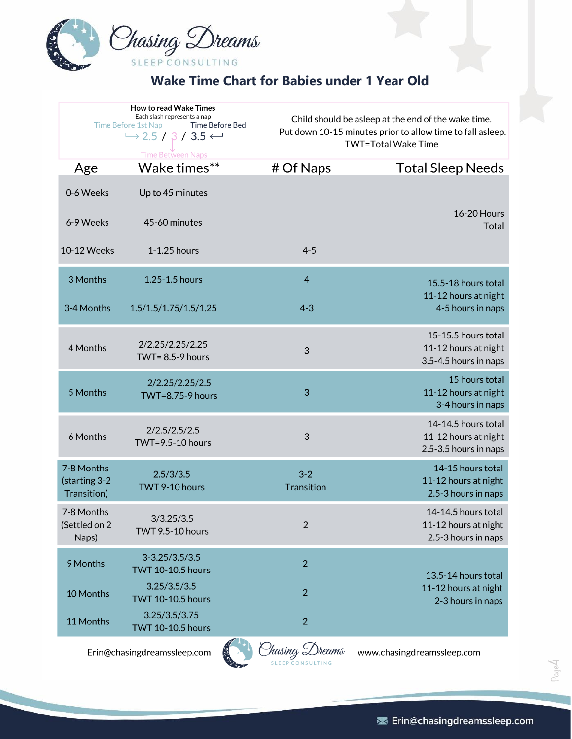

# **Wake Time Chart for Babies under 1 Year Old**

<span id="page-3-0"></span>

|                                            | <b>How to read Wake Times</b><br>Each slash represents a nap<br>Time Before 1st Nap<br>Time Before Bed<br>$\rightarrow$ 2.5 / 3 / 3.5 $\leftarrow$<br><b>Time Between Naps</b> |                                              | Child should be asleep at the end of the wake time.<br>Put down 10-15 minutes prior to allow time to fall asleep.<br><b>TWT=Total Wake Time</b> |  |
|--------------------------------------------|--------------------------------------------------------------------------------------------------------------------------------------------------------------------------------|----------------------------------------------|-------------------------------------------------------------------------------------------------------------------------------------------------|--|
| Age                                        | Wake times**                                                                                                                                                                   | # Of Naps                                    | <b>Total Sleep Needs</b>                                                                                                                        |  |
| 0-6 Weeks                                  | Up to 45 minutes                                                                                                                                                               |                                              |                                                                                                                                                 |  |
| 6-9 Weeks                                  | 45-60 minutes                                                                                                                                                                  |                                              | <b>16-20 Hours</b><br><b>Total</b>                                                                                                              |  |
| 10-12 Weeks                                | 1-1.25 hours                                                                                                                                                                   | $4 - 5$                                      |                                                                                                                                                 |  |
| 3 Months                                   | 1.25-1.5 hours                                                                                                                                                                 | $\overline{\mathcal{A}}$                     | 15.5-18 hours total                                                                                                                             |  |
| 3-4 Months                                 | 1.5/1.5/1.75/1.5/1.25                                                                                                                                                          | $4 - 3$                                      | 11-12 hours at night<br>4-5 hours in naps                                                                                                       |  |
| 4 Months                                   | 2/2.25/2.25/2.25<br>TWT= $8.5-9$ hours                                                                                                                                         | 3                                            | 15-15.5 hours total<br>11-12 hours at night<br>3.5-4.5 hours in naps                                                                            |  |
| 5 Months                                   | 2/2.25/2.25/2.5<br><b>TWT=8.75-9 hours</b>                                                                                                                                     | 3                                            | 15 hours total<br>11-12 hours at night<br>3-4 hours in naps                                                                                     |  |
| 6 Months                                   | 2/2.5/2.5/2.5<br><b>TWT=9.5-10 hours</b>                                                                                                                                       | 3                                            | 14-14.5 hours total<br>11-12 hours at night<br>2.5-3.5 hours in naps                                                                            |  |
| 7-8 Months<br>(starting 3-2<br>Transition) | 2.5/3/3.5<br>TWT 9-10 hours                                                                                                                                                    | $3 - 2$<br>Transition                        | 14-15 hours total<br>11-12 hours at night<br>2.5-3 hours in naps                                                                                |  |
| 7-8 Months<br>(Settled on 2<br>Naps)       | 3/3.25/3.5<br><b>TWT 9.5-10 hours</b>                                                                                                                                          | 2                                            | 14-14.5 hours total<br>11-12 hours at night<br>2.5-3 hours in naps                                                                              |  |
| 9 Months                                   | $3 - 3.25 / 3.5 / 3.5$<br><b>TWT 10-10.5 hours</b>                                                                                                                             | $\overline{2}$                               | 13.5-14 hours total                                                                                                                             |  |
| 10 Months                                  | 3.25/3.5/3.5<br><b>TWT 10-10.5 hours</b>                                                                                                                                       | $\overline{2}$                               | 11-12 hours at night<br>2-3 hours in naps                                                                                                       |  |
| 11 Months                                  | 3.25/3.5/3.75<br><b>TWT 10-10.5 hours</b>                                                                                                                                      | $\overline{2}$                               |                                                                                                                                                 |  |
|                                            |                                                                                                                                                                                | <b>All Services</b><br>$\alpha$<br>$\bigcap$ |                                                                                                                                                 |  |

Erin@chasingdreamssleep.com



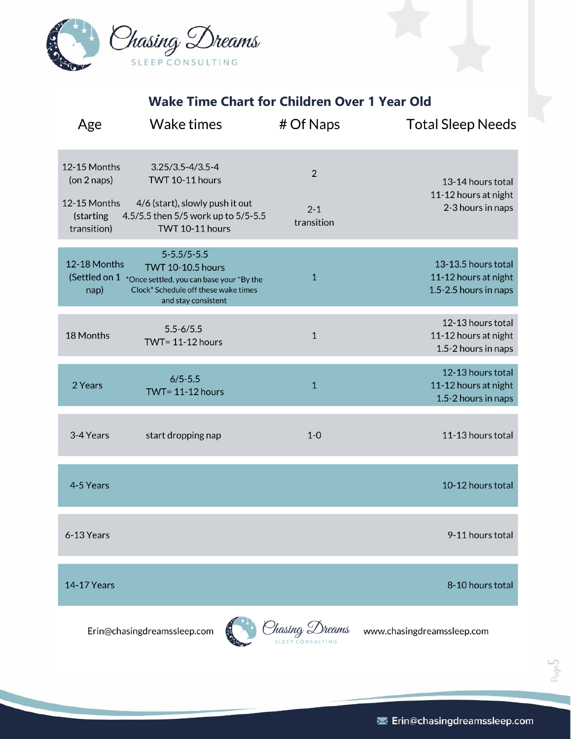

**Wake Time Chart for Children Over 1 Year Old**

<span id="page-4-0"></span>

| Age                                                                     | <b>Wake times</b>                                                                                                                                          | # Of Naps                               | <b>Total Sleep Needs</b>                                             |
|-------------------------------------------------------------------------|------------------------------------------------------------------------------------------------------------------------------------------------------------|-----------------------------------------|----------------------------------------------------------------------|
| 12-15 Months<br>(on 2 naps)<br>12-15 Months<br>(starting<br>transition) | $3.25/3.5 - 4/3.5 - 4$<br>TWT 10-11 hours<br>4/6 (start), slowly push it out<br>4.5/5.5 then 5/5 work up to 5/5-5.5<br>TWT 10-11 hours                     | $\overline{2}$<br>$2 - 1$<br>transition | 13-14 hours total<br>11-12 hours at night<br>2-3 hours in naps       |
| 12-18 Months<br>(Settled on 1<br>nap)                                   | $5 - 5.5 / 5 - 5.5$<br><b>TWT 10-10.5 hours</b><br>*Once settled, you can base your "By the<br>Clock" Schedule off these wake times<br>and stay consistent | $\mathbf{1}$                            | 13-13.5 hours total<br>11-12 hours at night<br>1.5-2.5 hours in naps |
| 18 Months                                                               | $5.5 - 6/5.5$<br><b>TWT= 11-12 hours</b>                                                                                                                   | $\mathbf{1}$                            | 12-13 hours total<br>11-12 hours at night<br>1.5-2 hours in naps     |
| 2 Years                                                                 | $6/5 - 5.5$<br>TWT= $11-12$ hours                                                                                                                          | $\mathbf{1}$                            | 12-13 hours total<br>11-12 hours at night<br>1.5-2 hours in naps     |
| 3-4 Years                                                               | start dropping nap                                                                                                                                         | $1-0$                                   | 11-13 hours total                                                    |
| 4-5 Years                                                               |                                                                                                                                                            |                                         | 10-12 hours total                                                    |
| 6-13 Years                                                              |                                                                                                                                                            |                                         | 9-11 hours total                                                     |
| <b>14-17 Years</b>                                                      |                                                                                                                                                            |                                         | 8-10 hours total                                                     |
|                                                                         | Erin@chasingdreamssleep.com                                                                                                                                | Iasing Dreams                           | www.chasingdreamssleep.com                                           |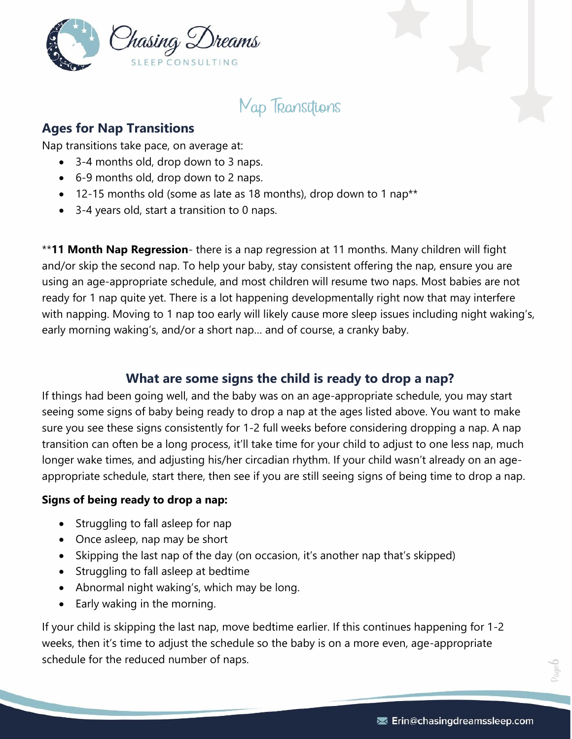

**Map Transitions** 

### <span id="page-5-1"></span><span id="page-5-0"></span>**Ages for Nap Transitions**

Nap transitions take pace, on average at:

- 3-4 months old, drop down to 3 naps.
- 6-9 months old, drop down to 2 naps.
- 12-15 months old (some as late as 18 months), drop down to 1 nap\*\*
- 3-4 years old, start a transition to 0 naps.

\*\***11 Month Nap Regression**- there is a nap regression at 11 months. Many children will fight and/or skip the second nap. To help your baby, stay consistent offering the nap, ensure you are using an age-appropriate schedule, and most children will resume two naps. Most babies are not ready for 1 nap quite yet. There is a lot happening developmentally right now that may interfere with napping. Moving to 1 nap too early will likely cause more sleep issues including night waking's, early morning waking's, and/or a short nap… and of course, a cranky baby.

### **What are some signs the child is ready to drop a nap?**

<span id="page-5-2"></span>If things had been going well, and the baby was on an age-appropriate schedule, you may start seeing some signs of baby being ready to drop a nap at the ages listed above. You want to make sure you see these signs consistently for 1-2 full weeks before considering dropping a nap. A nap transition can often be a long process, it'll take time for your child to adjust to one less nap, much longer wake times, and adjusting his/her circadian rhythm. If your child wasn't already on an ageappropriate schedule, start there, then see if you are still seeing signs of being time to drop a nap.

### **Signs of being ready to drop a nap:**

- Struggling to fall asleep for nap
- Once asleep, nap may be short
- Skipping the last nap of the day (on occasion, it's another nap that's skipped)
- Struggling to fall asleep at bedtime
- Abnormal night waking's, which may be long.
- Early waking in the morning.

If your child is skipping the last nap, move bedtime earlier. If this continues happening for 1-2 weeks, then it's time to adjust the schedule so the baby is on a more even, age-appropriate schedule for the reduced number of naps.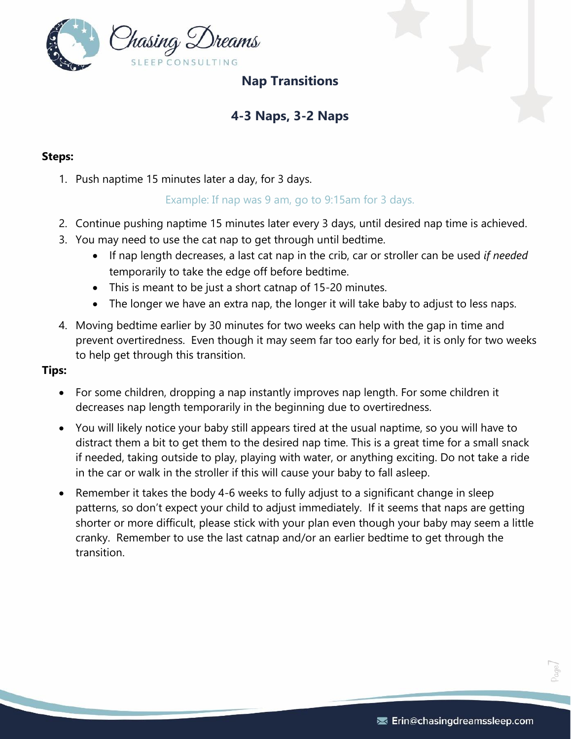<span id="page-6-0"></span>

## **Nap Transitions**

# **4-3 Naps, 3-2 Naps**

### <span id="page-6-1"></span>**Steps:**

1. Push naptime 15 minutes later a day, for 3 days.

### Example: If nap was 9 am, go to 9:15am for 3 days.

- 2. Continue pushing naptime 15 minutes later every 3 days, until desired nap time is achieved.
- 3. You may need to use the cat nap to get through until bedtime.
	- If nap length decreases, a last cat nap in the crib, car or stroller can be used *if needed* temporarily to take the edge off before bedtime.
	- This is meant to be just a short catnap of 15-20 minutes.
	- The longer we have an extra nap, the longer it will take baby to adjust to less naps.
- 4. Moving bedtime earlier by 30 minutes for two weeks can help with the gap in time and prevent overtiredness. Even though it may seem far too early for bed, it is only for two weeks to help get through this transition.

#### **Tips:**

- For some children, dropping a nap instantly improves nap length. For some children it decreases nap length temporarily in the beginning due to overtiredness.
- You will likely notice your baby still appears tired at the usual naptime, so you will have to distract them a bit to get them to the desired nap time. This is a great time for a small snack if needed, taking outside to play, playing with water, or anything exciting. Do not take a ride in the car or walk in the stroller if this will cause your baby to fall asleep.
- Remember it takes the body 4-6 weeks to fully adjust to a significant change in sleep patterns, so don't expect your child to adjust immediately. If it seems that naps are getting shorter or more difficult, please stick with your plan even though your baby may seem a little cranky. Remember to use the last catnap and/or an earlier bedtime to get through the transition.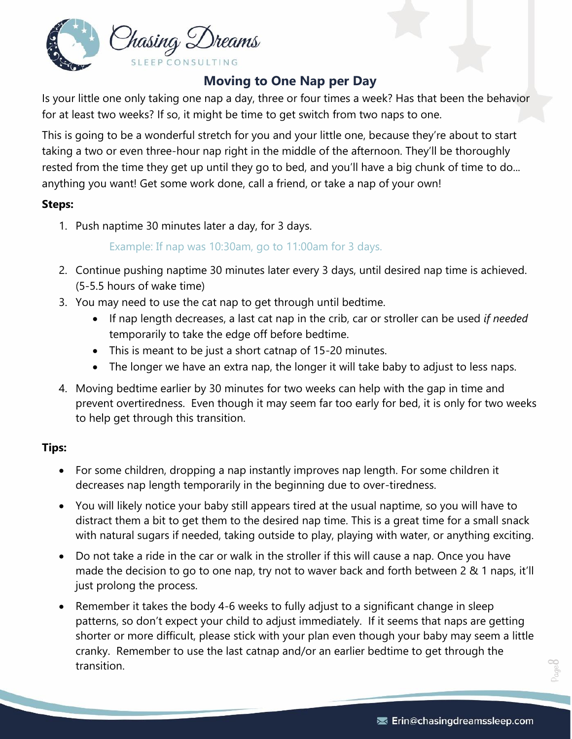

# **Moving to One Nap per Day**

<span id="page-7-0"></span>Is your little one only taking one nap a day, three or four times a week? Has that been the behavior for at least two weeks? If so, it might be time to get switch from two naps to one.

This is going to be a wonderful stretch for you and your little one, because they're about to start taking a two or even three-hour nap right in the middle of the afternoon. They'll be thoroughly rested from the time they get up until they go to bed, and you'll have a big chunk of time to do... anything you want! Get some work done, call a friend, or take a nap of your own!

### **Steps:**

1. Push naptime 30 minutes later a day, for 3 days.

### Example: If nap was 10:30am, go to 11:00am for 3 days.

- 2. Continue pushing naptime 30 minutes later every 3 days, until desired nap time is achieved. (5-5.5 hours of wake time)
- 3. You may need to use the cat nap to get through until bedtime.
	- If nap length decreases, a last cat nap in the crib, car or stroller can be used *if needed* temporarily to take the edge off before bedtime.
	- This is meant to be just a short catnap of 15-20 minutes.
	- The longer we have an extra nap, the longer it will take baby to adjust to less naps.
- 4. Moving bedtime earlier by 30 minutes for two weeks can help with the gap in time and prevent overtiredness. Even though it may seem far too early for bed, it is only for two weeks to help get through this transition.

### **Tips:**

- For some children, dropping a nap instantly improves nap length. For some children it decreases nap length temporarily in the beginning due to over-tiredness.
- You will likely notice your baby still appears tired at the usual naptime, so you will have to distract them a bit to get them to the desired nap time. This is a great time for a small snack with natural sugars if needed, taking outside to play, playing with water, or anything exciting.
- Do not take a ride in the car or walk in the stroller if this will cause a nap. Once you have made the decision to go to one nap, try not to waver back and forth between 2 & 1 naps, it'll just prolong the process.
- Remember it takes the body 4-6 weeks to fully adjust to a significant change in sleep patterns, so don't expect your child to adjust immediately. If it seems that naps are getting shorter or more difficult, please stick with your plan even though your baby may seem a little cranky. Remember to use the last catnap and/or an earlier bedtime to get through the transition.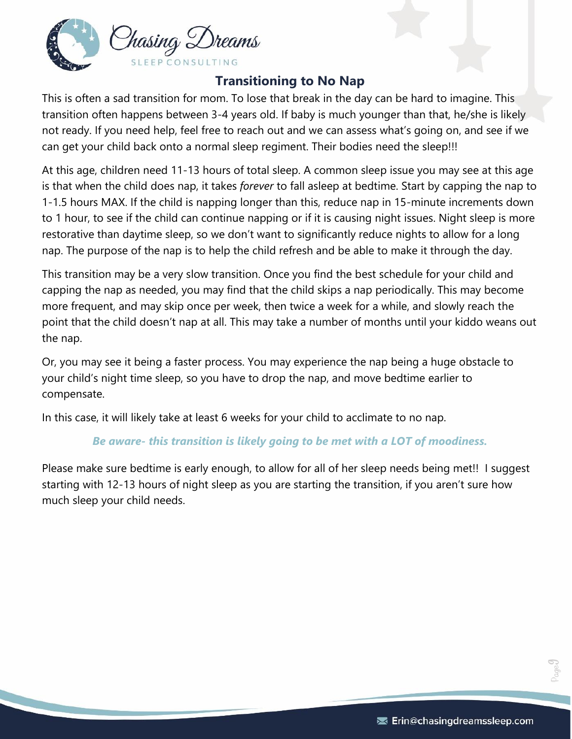

# **Transitioning to No Nap**

<span id="page-8-0"></span>This is often a sad transition for mom. To lose that break in the day can be hard to imagine. This transition often happens between 3-4 years old. If baby is much younger than that, he/she is likely not ready. If you need help, feel free to reach out and we can assess what's going on, and see if we can get your child back onto a normal sleep regiment. Their bodies need the sleep!!!

At this age, children need 11-13 hours of total sleep. A common sleep issue you may see at this age is that when the child does nap, it takes *forever* to fall asleep at bedtime. Start by capping the nap to 1-1.5 hours MAX. If the child is napping longer than this, reduce nap in 15-minute increments down to 1 hour, to see if the child can continue napping or if it is causing night issues. Night sleep is more restorative than daytime sleep, so we don't want to significantly reduce nights to allow for a long nap. The purpose of the nap is to help the child refresh and be able to make it through the day.

This transition may be a very slow transition. Once you find the best schedule for your child and capping the nap as needed, you may find that the child skips a nap periodically. This may become more frequent, and may skip once per week, then twice a week for a while, and slowly reach the point that the child doesn't nap at all. This may take a number of months until your kiddo weans out the nap.

Or, you may see it being a faster process. You may experience the nap being a huge obstacle to your child's night time sleep, so you have to drop the nap, and move bedtime earlier to compensate.

In this case, it will likely take at least 6 weeks for your child to acclimate to no nap.

### *Be aware- this transition is likely going to be met with a LOT of moodiness.*

Please make sure bedtime is early enough, to allow for all of her sleep needs being met!! I suggest starting with 12-13 hours of night sleep as you are starting the transition, if you aren't sure how much sleep your child needs.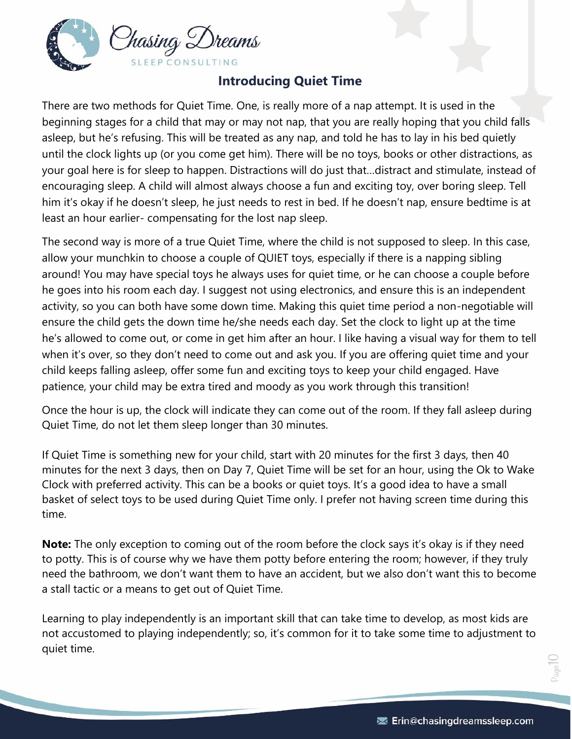

# **Introducing Quiet Time**

<span id="page-9-0"></span>There are two methods for Quiet Time. One, is really more of a nap attempt. It is used in the beginning stages for a child that may or may not nap, that you are really hoping that you child falls asleep, but he's refusing. This will be treated as any nap, and told he has to lay in his bed quietly until the clock lights up (or you come get him). There will be no toys, books or other distractions, as your goal here is for sleep to happen. Distractions will do just that…distract and stimulate, instead of encouraging sleep. A child will almost always choose a fun and exciting toy, over boring sleep. Tell him it's okay if he doesn't sleep, he just needs to rest in bed. If he doesn't nap, ensure bedtime is at least an hour earlier- compensating for the lost nap sleep.

The second way is more of a true Quiet Time, where the child is not supposed to sleep. In this case, allow your munchkin to choose a couple of QUIET toys, especially if there is a napping sibling around! You may have special toys he always uses for quiet time, or he can choose a couple before he goes into his room each day. I suggest not using electronics, and ensure this is an independent activity, so you can both have some down time. Making this quiet time period a non-negotiable will ensure the child gets the down time he/she needs each day. Set the clock to light up at the time he's allowed to come out, or come in get him after an hour. I like having a visual way for them to tell when it's over, so they don't need to come out and ask you. If you are offering quiet time and your child keeps falling asleep, offer some fun and exciting toys to keep your child engaged. Have patience, your child may be extra tired and moody as you work through this transition!

Once the hour is up, the clock will indicate they can come out of the room. If they fall asleep during Quiet Time, do not let them sleep longer than 30 minutes.

If Quiet Time is something new for your child, start with 20 minutes for the first 3 days, then 40 minutes for the next 3 days, then on Day 7, Quiet Time will be set for an hour, using the Ok to Wake Clock with preferred activity. This can be a books or quiet toys. It's a good idea to have a small basket of select toys to be used during Quiet Time only. I prefer not having screen time during this time.

**Note:** The only exception to coming out of the room before the clock says it's okay is if they need to potty. This is of course why we have them potty before entering the room; however, if they truly need the bathroom, we don't want them to have an accident, but we also don't want this to become a stall tactic or a means to get out of Quiet Time.

Learning to play independently is an important skill that can take time to develop, as most kids are not accustomed to playing independently; so, it's common for it to take some time to adjustment to quiet time.